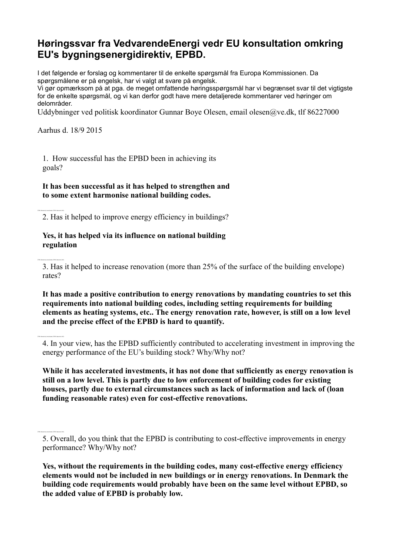# **Høringssvar fra VedvarendeEnergi vedr EU konsultation omkring EU's bygningsenergidirektiv, EPBD.**

I det følgende er forslag og kommentarer til de enkelte spørgsmål fra Europa Kommissionen. Da spørgsmålene er på engelsk, har vi valgt at svare på engelsk.

Vi gør opmærksom på at pga. de meget omfattende høringsspørgsmål har vi begrænset svar til det vigtigste for de enkelte spørgsmål, og vi kan derfor godt have mere detaljerede kommentarer ved høringer om delområder.

Uddybninger ved politisk koordinator Gunnar Boye Olesen, email olesen@ve.dk, tlf 86227000

Aarhus d. 18/9 2015

2500 character(s) maximum (2500 characters left)

2500 character(s) maximum (2500 characters left)

2500 character(s) maximum (2500 characters left)

2500 character(s) maximum (2500 characters left)

1. How successful has the EPBD been in achieving its goals?

**It has been successful as it has helped to strengthen and to some extent harmonise national building codes.**

2. Has it helped to improve energy efficiency in buildings?

#### **Yes, it has helped via its influence on national building regulation**

3. Has it helped to increase renovation (more than 25% of the surface of the building envelope) rates?

**It has made a positive contribution to energy renovations by mandating countries to set this requirements into national building codes, including setting requirements for building elements as heating systems, etc.. The energy renovation rate, however, is still on a low level and the precise effect of the EPBD is hard to quantify.**

4. In your view, has the EPBD sufficiently contributed to accelerating investment in improving the energy performance of the EU's building stock? Why/Why not?

**While it has accelerated investments, it has not done that sufficiently as energy renovation is still on a low level. This is partly due to low enforcement of building codes for existing houses, partly due to external circumstances such as lack of information and lack of (loan funding reasonable rates) even for cost-effective renovations.**

<sup>5.</sup> Overall, do you think that the EPBD is contributing to cost-effective improvements in energy performance? Why/Why not?

**Yes, without the requirements in the building codes, many cost-effective energy efficiency elements would not be included in new buildings or in energy renovations. In Denmark the building code requirements would probably have been on the same level without EPBD, so the added value of EPBD is probably low.**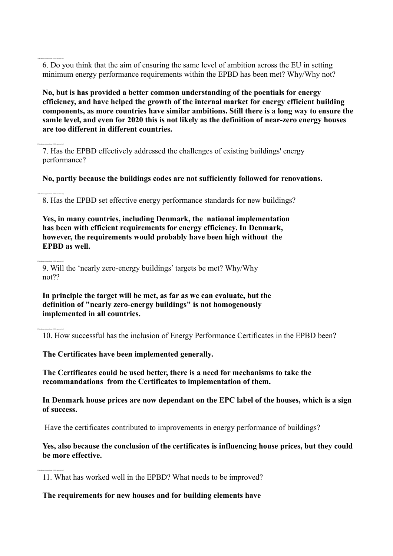6. Do you think that the aim of ensuring the same level of ambition across the EU in setting minimum energy performance requirements within the EPBD has been met? Why/Why not?

**No, but is has provided a better common understanding of the poentials for energy efficiency, and have helped the growth of the internal market for energy efficient building components, as more countries have similar ambitions. Still there is a long way to ensure the samle level, and even for 2020 this is not likely as the definition of near-zero energy houses are too different in different countries.**

7. Has the EPBD effectively addressed the challenges of existing buildings' energy performance?

**No, partly because the buildings codes are not sufficiently followed for renovations.**

8. Has the EPBD set effective energy performance standards for new buildings?

**Yes, in many countries, including Denmark, the national implementation has been with efficient requirements for energy efficiency. In Denmark, however, the requirements would probably have been high without the EPBD as well.**

9. Will the 'nearly zero-energy buildings' targets be met? Why/Why not??

**In principle the target will be met, as far as we can evaluate, but the definition of "nearly zero-energy buildings" is not homogenously implemented in all countries.**

10. How successful has the inclusion of Energy Performance Certificates in the EPBD been?

**The Certificates have been implemented generally.**

2500 character(s) maximum (2500 characters left)

2500 character(s) maximum (2500 characters left)

2500 character(s) maximum (2500 characters left)

2500 character(s) maximum (2500 characters left)

2500 character(s) maximum (2500 characters left)

**The Certificates could be used better, there is a need for mechanisms to take the recommandations from the Certificates to implementation of them.**

**In Denmark house prices are now dependant on the EPC label of the houses, which is a sign of success.**

Have the certificates contributed to improvements in energy performance of buildings?

**Yes, also because the conclusion of the certificates is influencing house prices, but they could be more effective.**

11. What has worked well in the EPBD? What needs to be improved?

**The requirements for new houses and for building elements have**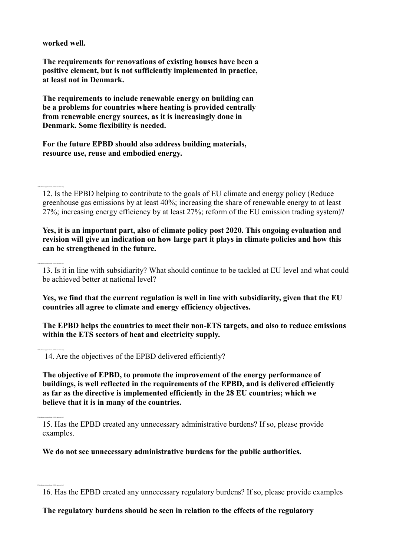**worked well.**

2500 character(s) maximum (2500 characters left)

2500 character(s) maximum (2500 characters left)

**The requirements for renovations of existing houses have been a positive element, but is not sufficiently implemented in practice, at least not in Denmark.**

**The requirements to include renewable energy on building can be a problems for countries where heating is provided centrally from renewable energy sources, as it is increasingly done in Denmark. Some flexibility is needed.** 

**For the future EPBD should also address building materials, resource use, reuse and embodied energy.**

12. Is the EPBD helping to contribute to the goals of EU climate and energy policy (Reduce greenhouse gas emissions by at least 40%; increasing the share of renewable energy to at least 27%; increasing energy efficiency by at least 27%; reform of the EU emission trading system)?

**Yes, it is an important part, also of climate policy post 2020. This ongoing evaluation and revision will give an indication on how large part it plays in climate policies and how this can be strengthened in the future.**

13. Is it in line with subsidiarity? What should continue to be tackled at EU level and what could be achieved better at national level?

**Yes, we find that the current regulation is well in line with subsidiarity, given that the EU countries all agree to climate and energy efficiency objectives.**

**The EPBD helps the countries to meet their non-ETS targets, and also to reduce emissions within the ETS sectors of heat and electricity supply.** 

14. Are the objectives of the EPBD delivered efficiently?

**The objective of EPBD, to promote the improvement of the energy performance of buildings, is well reflected in the requirements of the EPBD, and is delivered efficiently as far as the directive is implemented efficiently in the 28 EU countries; which we believe that it is in many of the countries.**

15. Has the EPBD created any unnecessary administrative burdens? If so, please provide examples.

**We do not see unnecessary administrative burdens for the public authorities.**

**The regulatory burdens should be seen in relation to the effects of the regulatory** 

<sup>16.</sup> Has the EPBD created any unnecessary regulatory burdens? If so, please provide examples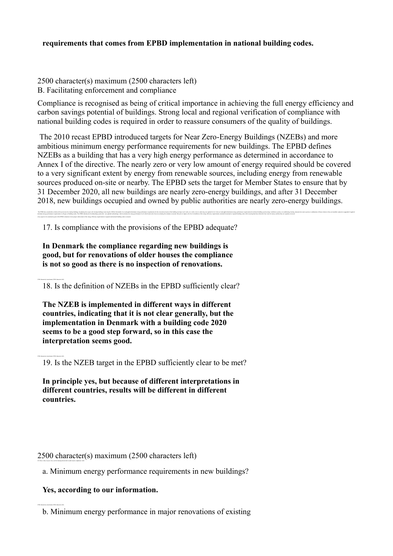### **requirements that comes from EPBD implementation in national building codes.**

2500 character(s) maximum (2500 characters left) B. Facilitating enforcement and compliance

Compliance is recognised as being of critical importance in achieving the full energy efficiency and carbon savings potential of buildings. Strong local and regional verification of compliance with national building codes is required in order to reassure consumers of the quality of buildings.

The 2010 recast EPBD introduced targets for Near Zero-Energy Buildings (NZEBs) and more ambitious minimum energy performance requirements for new buildings. The EPBD defines NZEBs as a building that has a very high energy performance as determined in accordance to Annex I of the directive. The nearly zero or very low amount of energy required should be covered to a very significant extent by energy from renewable sources, including energy from renewable sources produced on-site or nearby. The EPBD sets the target for Member States to ensure that by 31 December 2020, all new buildings are nearly zero-energy buildings, and after 31 December 2018, new buildings occupied and owned by public authorities are nearly zero-energy buildings.

he and a substitute the substitution of the compart of the compart of the compart of the compart of the compart of the compart of the compart of the compart of the compart of the compart of the compart of the compart of th A key aspect to be examined as part of the EPBD evaluation is how proper enforcement of the energy efficiency requirements in regional and national building codes is ensured.

17. Is compliance with the provisions of the EPBD adequate?

**In Denmark the compliance regarding new buildings is good, but for renovations of older houses the compliance is not so good as there is no inspection of renovations.**

18. Is the definition of NZEBs in the EPBD sufficiently clear?

2500 character(s) maximum (2500 characters left)

2500 character(s) maximum (2500 characters left)

20. If not, what, in your view, are the missing factors that would ensure compliance with:

2500 character(s) maximum (2500 characters left)

**The NZEB is implemented in different ways in different countries, indicating that it is not clear generally, but the implementation in Denmark with a building code 2020 seems to be a good step forward, so in this case the interpretation seems good.**

19. Is the NZEB target in the EPBD sufficiently clear to be met?

**In principle yes, but because of different interpretations in different countries, results will be different in different countries.**

2500 character(s) maximum (2500 characters left)

a. Minimum energy performance requirements in new buildings?

#### **Yes, according to our information.**

b. Minimum energy performance in major renovations of existing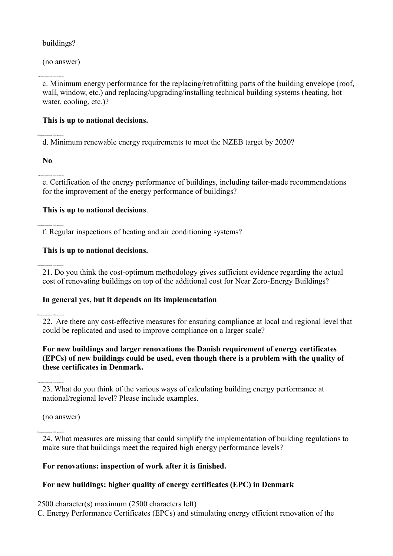# buildings?

(no answer)

2500 character(s) maximum (2500 characters left)

c. Minimum energy performance for the replacing/retrofitting parts of the building envelope (roof, wall, window, etc.) and replacing/upgrading/installing technical building systems (heating, hot water, cooling, etc.)?

# **This is up to national decisions.**

d. Minimum renewable energy requirements to meet the NZEB target by 2020?

**No**

2500 character(s) maximum (2500 characters left)

2500 character(s) maximum (2500 characters left)

2500 character(s) maximum (2500 characters left)

2500 character(s) maximum (2500 characters left)

e. Certification of the energy performance of buildings, including tailor-made recommendations for the improvement of the energy performance of buildings?

# **This is up to national decisions**.

f. Regular inspections of heating and air conditioning systems?

# **This is up to national decisions.**

21. Do you think the cost-optimum methodology gives sufficient evidence regarding the actual cost of renovating buildings on top of the additional cost for Near Zero-Energy Buildings?

# **In general yes, but it depends on its implementation**

22. Are there any cost-effective measures for ensuring compliance at local and regional level that could be replicated and used to improve compliance on a larger scale?

# **For new buildings and larger renovations the Danish requirement of energy certificates (EPCs) of new buildings could be used, even though there is a problem with the quality of these certificates in Denmark.**

23. What do you think of the various ways of calculating building energy performance at national/regional level? Please include examples.

(no answer)

24. What measures are missing that could simplify the implementation of building regulations to make sure that buildings meet the required high energy performance levels?

# **For renovations: inspection of work after it is finished.**

# **For new buildings: higher quality of energy certificates (EPC) in Denmark**

2500 character(s) maximum (2500 characters left)

C. Energy Performance Certificates (EPCs) and stimulating energy efficient renovation of the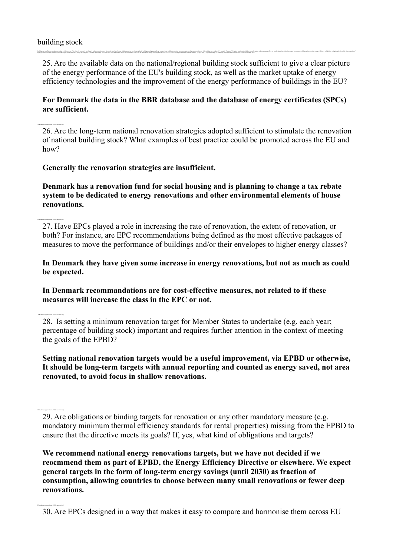#### building stock

2500 character(s) maximum (2500 characters left)

2500 character(s) maximum (2500 characters left)

2500 character(s) maximum (2500 characters left)

2500 character(s) maximum (2500 characters left)

25. Are the available data on the national/regional building stock sufficient to give a clear picture of the energy performance of the EU's building stock, as well as the market uptake of energy efficiency technologies and the improvement of the energy performance of buildings in the EU?

Balding earny efficiency has been increasing at 1.4% per year. This radio is one in term is enough to an excelleng to be recording to be recorded enough of electron of electron and the balding mas be apport and the content

# **For Denmark the data in the BBR database and the database of energy certificates (SPCs) are sufficient.**

26. Are the long-term national renovation strategies adopted sufficient to stimulate the renovation of national building stock? What examples of best practice could be promoted across the EU and how?

### **Generally the renovation strategies are insufficient.**

highly meetaling workers, solutions and technologies and investments in easing efficiency and innovables in buildings. These aims have been identified as drivers for investment in reasonation. In addition, the Energy Effic

**Denmark has a renovation fund for social housing and is planning to change a tax rebate system to be dedicated to energy renovations and other environmental elements of house renovations.**

27. Have EPCs played a role in increasing the rate of renovation, the extent of renovation, or both? For instance, are EPC recommendations being defined as the most effective packages of measures to move the performance of buildings and/or their envelopes to higher energy classes?

**In Denmark they have given some increase in energy renovations, but not as much as could be expected.**

**In Denmark recommandations are for cost-effective measures, not related to if these measures will increase the class in the EPC or not.**

28. Is setting a minimum renovation target for Member States to undertake (e.g. each year; percentage of building stock) important and requires further attention in the context of meeting the goals of the EPBD?

**Setting national renovation targets would be a useful improvement, via EPBD or otherwise, It should be long-term targets with annual reporting and counted as energy saved, not area renovated, to avoid focus in shallow renovations.**

**We recommend national energy renovations targets, but we have not decided if we reocmmend them as part of EPBD, the Energy Efficiency Directive or elsewhere. We expect general targets in the form of long-term energy savings (until 2030) as fraction of consumption, allowing countries to choose between many small renovations or fewer deep renovations.**

<sup>29.</sup> Are obligations or binding targets for renovation or any other mandatory measure (e.g. mandatory minimum thermal efficiency standards for rental properties) missing from the EPBD to ensure that the directive meets its goals? If, yes, what kind of obligations and targets?

<sup>30.</sup> Are EPCs designed in a way that makes it easy to compare and harmonise them across EU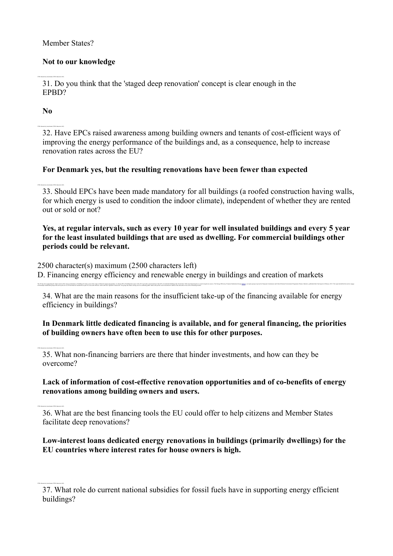Member States?

# **Not to our knowledge**

31. Do you think that the 'staged deep renovation' concept is clear enough in the EPBD?

**No**

2500 character(s) maximum (2500 characters left)

2500 character(s) maximum (2500 characters left)

2500 character(s) maximum (2500 characters left)

2500 character(s) maximum (2500 characters left)

32. Have EPCs raised awareness among building owners and tenants of cost-efficient ways of improving the energy performance of the buildings and, as a consequence, help to increase renovation rates across the EU?

# **For Denmark yes, but the resulting renovations have been fewer than expected**

33. Should EPCs have been made mandatory for all buildings (a roofed construction having walls, for which energy is used to condition the indoor climate), independent of whether they are rented out or sold or not?

# **Yes, at regular intervals, such as every 10 year for well insulated buildings and every 5 year for the least insulated buildings that are used as dwelling. For commercial buildings other periods could be relevant.**

2500 character(s) maximum (2500 characters left)

with multiple makebolder groups and scale up the use of several financial instruments as part of a clear and enfected 'earnot and stick' legislative framework. The group also made a strong case for combining public funds w

D. Financing energy efficiency and renewable energy in buildings and creation of markets

34. What are the main reasons for the insufficient take-up of the financing available for energy efficiency in buildings?

The EU has been egrective the improvement of the energy net/equance of building for any vers with a most of funcial monot are one of funcial monot and any official base mono in the EU is niveable any office any any of the

# **In Denmark little dedicated financing is available, and for general financing, the priorities of building owners have often been to use this for other purposes.**

35. What non-financing barriers are there that hinder investments, and how can they be overcome?

# **Lack of information of cost-effective renovation opportunities and of co-benefits of energy renovations among building owners and users.**

36. What are the best financing tools the EU could offer to help citizens and Member States facilitate deep renovations?

**Low-interest loans dedicated energy renovations in buildings (primarily dwellings) for the EU countries where interest rates for house owners is high.**

<sup>37.</sup> What role do current national subsidies for fossil fuels have in supporting energy efficient buildings?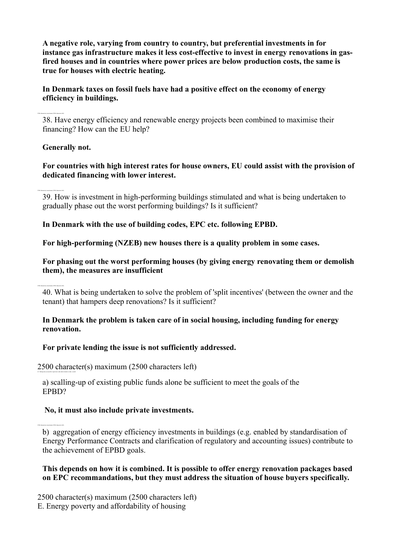**A negative role, varying from country to country, but preferential investments in for instance gas infrastructure makes it less cost-effective to invest in energy renovations in gasfired houses and in countries where power prices are below production costs, the same is true for houses with electric heating.**

**In Denmark taxes on fossil fuels have had a positive effect on the economy of energy efficiency in buildings.**

38. Have energy efficiency and renewable energy projects been combined to maximise their financing? How can the EU help?

### **Generally not.**

2500 character(s) maximum (2500 characters left)

2500 character(s) maximum (2500 characters left)

2500 character(s) maximum (2500 characters left)

41. Taking into account the experience and achievements to date, would

2500 character(s) maximum (2500 characters left)

**For countries with high interest rates for house owners, EU could assist with the provision of dedicated financing with lower interest.**

39. How is investment in high-performing buildings stimulated and what is being undertaken to gradually phase out the worst performing buildings? Is it sufficient?

**In Denmark with the use of building codes, EPC etc. following EPBD.**

**For high-performing (NZEB) new houses there is a quality problem in some cases.**

**For phasing out the worst performing houses (by giving energy renovating them or demolish them), the measures are insufficient**

40. What is being undertaken to solve the problem of 'split incentives' (between the owner and the tenant) that hampers deep renovations? Is it sufficient?

**In Denmark the problem is taken care of in social housing, including funding for energy renovation.**

**For private lending the issue is not sufficiently addressed.**

2500 character(s) maximum (2500 characters left)

a) scalling-up of existing public funds alone be sufficient to meet the goals of the EPBD?

# **No, it must also include private investments.**

b) aggregation of energy efficiency investments in buildings (e.g. enabled by standardisation of Energy Performance Contracts and clarification of regulatory and accounting issues) contribute to the achievement of EPBD goals.

### **This depends on how it is combined. It is possible to offer energy renovation packages based on EPC recommandations, but they must address the situation of house buyers specifically.**

2500 character(s) maximum (2500 characters left) E. Energy poverty and affordability of housing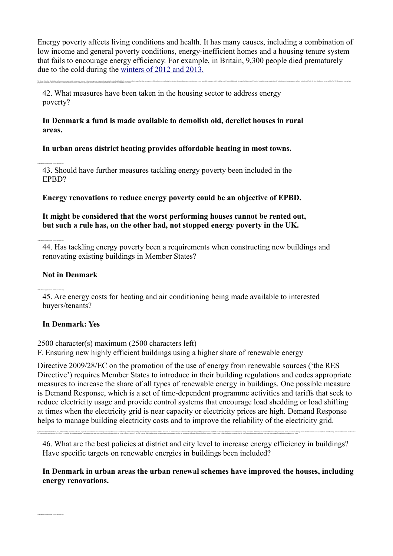Energy poverty affects living conditions and health. It has many causes, including a combination of low income and general poverty conditions, energy-inefficient homes and a housing tenure system that fails to encourage energy efficiency. For example, in Britain, 9,300 people died prematurely due to the cold during the [winters of 2012 and 2013.](http://www.ons.gov.uk/ons/rel/subnational-health2/excess-winter-mortality-in-england-and-wales/2012-13--provisional--and-2011-12--final-/stb-ewm-12-13.html)

The Energy Union has identified a combination of measures mainly in the social field and within the commenter of antherings of antherings of antherings of maind and incoll, regional measures when we of the fielding energy programme under which doctors will be able to prescribe boilers, insulation and double glazing to fuel-poor patients suffering from health conditions exacerbated by cold homes.

42. What measures have been taken in the housing sector to address energy poverty?

#### **In Denmark a fund is made available to demolish old, derelict houses in rural areas.**

**In urban areas district heating provides affordable heating in most towns.**

43. Should have further measures tackling energy poverty been included in the EPBD?

**Energy renovations to reduce energy poverty could be an objective of EPBD.**

#### **It might be considered that the worst performing houses cannot be rented out, but such a rule has, on the other had, not stopped energy poverty in the UK.**

44. Has tackling energy poverty been a requirements when constructing new buildings and renovating existing buildings in Member States?

#### **Not in Denmark**

2500 character(s) maximum (2500 characters left)

45. Are energy costs for heating and air conditioning being made available to interested buyers/tenants?

#### **In Denmark: Yes**

2500 character(s) maximum (2500 characters left)

F. Ensuring new highly efficient buildings using a higher share of renewable energy

to a Resource Efficient Europe (COM COULIST) monoual that buildings should be monoual and constrated with ansure researce officiency. While the Europe Efficiency Directive Character Color EED's and the EFFED have an intera

Directive 2009/28/EC on the promotion of the use of energy from renewable sources ('the RES Directive') requires Member States to introduce in their building regulations and codes appropriate measures to increase the share of all types of renewable energy in buildings. One possible measure is Demand Response, which is a set of time-dependent programme activities and tariffs that seek to reduce electricity usage and provide control systems that encourage load shedding or load shifting at times when the electricity grid is near capacity or electricity prices are high. Demand Response helps to manage building electricity costs and to improve the reliability of the electricity grid.

46. What are the best policies at district and city level to increase energy efficiency in buildings? Have specific targets on renewable energies in buildings been included?

By December 2014. Member States must, in their build no readations and codes, meales the asy of mini must of electron the of easter Dens merced in a restrict of the Party manager has the New Interest in the New York and a

### **In Denmark in urban areas the urban renewal schemes have improved the houses, including energy renovations.**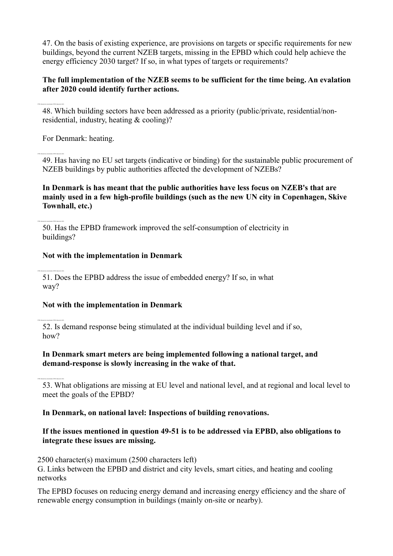47. On the basis of existing experience, are provisions on targets or specific requirements for new buildings, beyond the current NZEB targets, missing in the EPBD which could help achieve the energy efficiency 2030 target? If so, in what types of targets or requirements?

# **The full implementation of the NZEB seems to be sufficient for the time being. An evalation after 2020 could identify further actions.**

48. Which building sectors have been addressed as a priority (public/private, residential/nonresidential, industry, heating & cooling)?

For Denmark: heating.

2500 character(s) maximum (2500 characters left)

2500 character(s) maximum (2500 characters left)

2500 character(s) maximum (2500 characters left)

2500 character(s) maximum (2500 characters left)

49. Has having no EU set targets (indicative or binding) for the sustainable public procurement of NZEB buildings by public authorities affected the development of NZEBs?

### **In Denmark is has meant that the public authorities have less focus on NZEB's that are mainly used in a few high-profile buildings (such as the new UN city in Copenhagen, Skive Townhall, etc.)**

50. Has the EPBD framework improved the self-consumption of electricity in buildings?

# **Not with the implementation in Denmark**

51. Does the EPBD address the issue of embedded energy? If so, in what way?

# **Not with the implementation in Denmark**

52. Is demand response being stimulated at the individual building level and if so, how?

# **In Denmark smart meters are being implemented following a national target, and demand-response is slowly increasing in the wake of that.**

53. What obligations are missing at EU level and national level, and at regional and local level to meet the goals of the EPBD?

# **In Denmark, on national lavel: Inspections of building renovations.**

# **If the issues mentioned in question 49-51 is to be addressed via EPBD, also obligations to integrate these issues are missing.**

2500 character(s) maximum (2500 characters left)

G. Links between the EPBD and district and city levels, smart cities, and heating and cooling networks

The EPBD focuses on reducing energy demand and increasing energy efficiency and the share of renewable energy consumption in buildings (mainly on-site or nearby).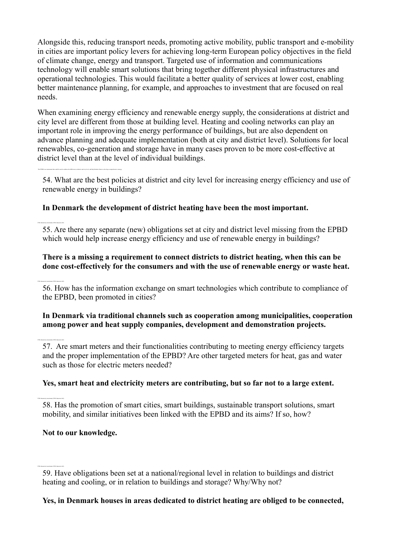Alongside this, reducing transport needs, promoting active mobility, public transport and e-mobility in cities are important policy levers for achieving long-term European policy objectives in the field of climate change, energy and transport. Targeted use of information and communications technology will enable smart solutions that bring together different physical infrastructures and operational technologies. This would facilitate a better quality of services at lower cost, enabling better maintenance planning, for example, and approaches to investment that are focused on real needs.

When examining energy efficiency and renewable energy supply, the considerations at district and city level are different from those at building level. Heating and cooling networks can play an important role in improving the energy performance of buildings, but are also dependent on advance planning and adequate implementation (both at city and district level). Solutions for local renewables, co-generation and storage have in many cases proven to be more cost-effective at district level than at the level of individual buildings.

The EPBD is an instrument that could be used to address the differences at district and city level, and help Member States to develop a comprehensive strategy

2500 character(s) maximum (2500 characters left)

2500 character(s) maximum (2500 characters left)

54. What are the best policies at district and city level for increasing energy efficiency and use of renewable energy in buildings?

# **In Denmark the development of district heating have been the most important.**

55. Are there any separate (new) obligations set at city and district level missing from the EPBD which would help increase energy efficiency and use of renewable energy in buildings?

# **There is a missing a requirement to connect districts to district heating, when this can be done cost-effectively for the consumers and with the use of renewable energy or waste heat.**

56. How has the information exchange on smart technologies which contribute to compliance of the EPBD, been promoted in cities?

# **In Denmark via traditional channels such as cooperation among municipalities, cooperation among power and heat supply companies, development and demonstration projects.**

57. Are smart meters and their functionalities contributing to meeting energy efficiency targets and the proper implementation of the EPBD? Are other targeted meters for heat, gas and water such as those for electric meters needed?

# **Yes, smart heat and electricity meters are contributing, but so far not to a large extent.**

58. Has the promotion of smart cities, smart buildings, sustainable transport solutions, smart mobility, and similar initiatives been linked with the EPBD and its aims? If so, how?

# **Not to our knowledge.**

2500 character(s) maximum (2500 characters left)

# **Yes, in Denmark houses in areas dedicated to district heating are obliged to be connected,**

<sup>59.</sup> Have obligations been set at a national/regional level in relation to buildings and district heating and cooling, or in relation to buildings and storage? Why/Why not?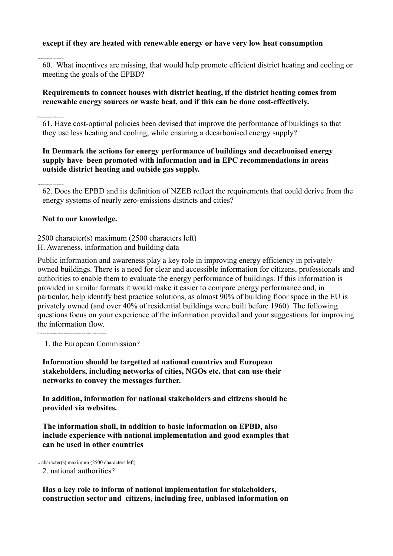### **except if they are heated with renewable energy or have very low heat consumption**

60. What incentives are missing, that would help promote efficient district heating and cooling or meeting the goals of the EPBD?

### **Requirements to connect houses with district heating, if the district heating comes from renewable energy sources or waste heat, and if this can be done cost-effectively.**

61. Have cost-optimal policies been devised that improve the performance of buildings so that they use less heating and cooling, while ensuring a decarbonised energy supply?

### **In Denmark the actions for energy performance of buildings and decarbonised energy supply have been promoted with information and in EPC recommendations in areas outside district heating and outside gas supply.**

62. Does the EPBD and its definition of NZEB reflect the requirements that could derive from the energy systems of nearly zero-emissions districts and cities?

### **Not to our knowledge.**

2500 character(s) maximum (2500 characters left)

2500 character(s) maximum (2500 characters left)

2500 character(s) maximum (2500 characters left)

2500 character(s) maximum (2500 characters left)

H. Awareness, information and building data

Public information and awareness play a key role in improving energy efficiency in privatelyowned buildings. There is a need for clear and accessible information for citizens, professionals and authorities to enable them to evaluate the energy performance of buildings. If this information is provided in similar formats it would make it easier to compare energy performance and, in particular, help identify best practice solutions, as almost 90% of building floor space in the EU is privately owned (and over 40% of residential buildings were built before 1960). The following questions focus on your experience of the information provided and your suggestions for improving the information flow.

1. the European Commission?

63. What do you think of the quantity and quality of information on the importance of energy efficiency provided to consumers by:

**Information should be targetted at national countries and European stakeholders, including networks of cities, NGOs etc. that can use their networks to convey the messages further.**

**In addition, information for national stakeholders and citizens should be provided via websites.**

**The information shall, in addition to basic information on EPBD, also include experience with national implementation and good examples that can be used in other countries**

 $\sim$  character(s) maximum (2500 characters left)

2. national authorities?

**Has a key role to inform of national implementation for stakeholders, construction sector and citizens, including free, unbiased information on**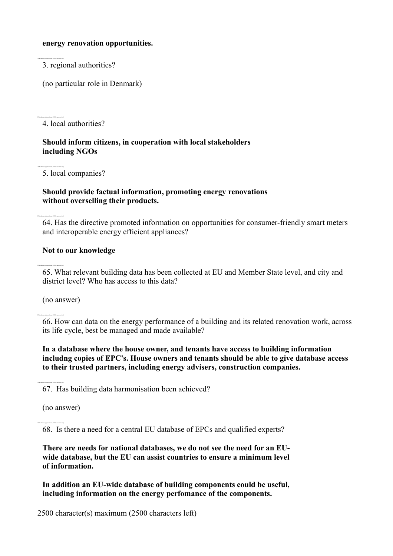#### **energy renovation opportunities.**

3. regional authorities?

2500 character(s) maximum (2500 characters left)

(no particular role in Denmark)

4. local authorities?

### **Should inform citizens, in cooperation with local stakeholders including NGOs**

5. local companies?

# **Should provide factual information, promoting energy renovations without overselling their products.**

64. Has the directive promoted information on opportunities for consumer-friendly smart meters and interoperable energy efficient appliances?

### **Not to our knowledge**

65. What relevant building data has been collected at EU and Member State level, and city and district level? Who has access to this data?

(no answer)

2500 character(s) maximum (2500 characters left)

2500 character(s) maximum (2500 characters left)

2500 character(s) maximum (2500 characters left)

66. How can data on the energy performance of a building and its related renovation work, across its life cycle, best be managed and made available?

### **In a database where the house owner, and tenants have access to building information includng copies of EPC's. House owners and tenants should be able to give database access to their trusted partners, including energy advisers, construction companies.**

67. Has building data harmonisation been achieved?

(no answer)

2500 character(s) maximum (2500 characters left)

68. Is there a need for a central EU database of EPCs and qualified experts?

**There are needs for national databases, we do not see the need for an EUwide database, but the EU can assist countries to ensure a minimum level of information.** 

**In addition an EU-wide database of building components eould be useful, including information on the energy perfomance of the components.**

2500 character(s) maximum (2500 characters left)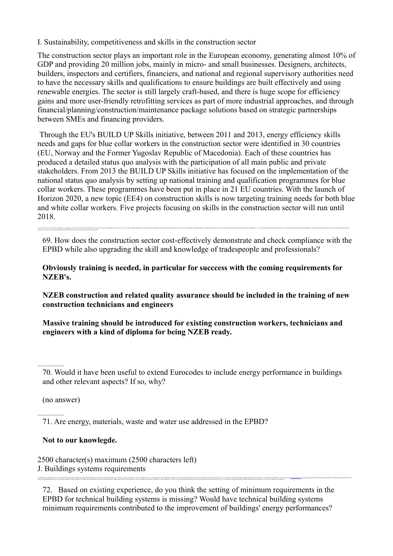I. Sustainability, competitiveness and skills in the construction sector

The construction sector plays an important role in the European economy, generating almost 10% of GDP and providing 20 million jobs, mainly in micro- and small businesses. Designers, architects, builders, inspectors and certifiers, financiers, and national and regional supervisory authorities need to have the necessary skills and qualifications to ensure buildings are built effectively and using renewable energies. The sector is still largely craft-based, and there is huge scope for efficiency gains and more user-friendly retrofitting services as part of more industrial approaches, and through financial/planning/construction/maintenance package solutions based on strategic partnerships between SMEs and financing providers.

Through the EU's BUILD UP Skills initiative, between 2011 and 2013, energy efficiency skills needs and gaps for blue collar workers in the construction sector were identified in 30 countries (EU, Norway and the Former Yugoslav Republic of Macedonia). Each of these countries has produced a detailed status quo analysis with the participation of all main public and private stakeholders. From 2013 the BUILD UP Skills initiative has focused on the implementation of the national status quo analysis by setting up national training and qualification programmes for blue collar workers. These programmes have been put in place in 21 EU countries. With the launch of Horizon 2020, a new topic (EE4) on construction skills is now targeting training needs for both blue and white collar workers. Five projects focusing on skills in the construction sector will run until 2018.

The competitivenes of contraction companies in an interestant issue, net only for anyweb and employment, but alon to easure the same of the such assume that in a secure be companies in activity in a member and interesting competitive, resource-efficient and sustainable. The EPBD is an instrument that could help work towards this goal. 69. How does the construction sector cost-effectively demonstrate and check compliance with the

EPBD while also upgrading the skill and knowledge of tradespeople and professionals?

**Obviously training is needed, in particular for succcess with the coming requirements for NZEB's.** 

**NZEB construction and related quality assurance should be included in the training of new construction technicians and engineers**

**Massive training should be introduced for existing construction workers, technicians and engineers with a kind of diploma for being NZEB ready.**

(no answer)

71. Are energy, materials, waste and water use addressed in the EPBD?

energy-effecters performance as part of the technical systems serving a building. The EFRD also requirescupplar importions effecting and air conditioning systems. While the Effective does not reposited to regarded as a 'ex

# **Not to our knowlegde.**

2500 character(s) maximum (2500 characters left) J. Buildings systems requirements

72. Based on existing experience, do you think the setting of minimum requirements in the EPBD for technical building systems is missing? Would have technical building systems minimum requirements contributed to the improvement of buildings' energy performances?

The EPRD requires Member States to at minimum energy performance requirement for technical building oystem (mann technical equipment for the besting) cooling, vental equipment for the besting cooling vental lightning or th

<sup>70.</sup> Would it have been useful to extend Eurocodes to include energy performance in buildings and other relevant aspects? If so, why?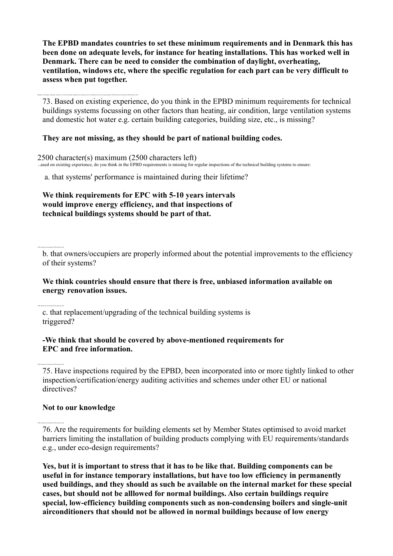**The EPBD mandates countries to set these minimum requirements and in Denmark this has been done on adequate levels, for instance for heating installations. This has worked well in Denmark. There can be need to consider the combination of daylight, overheating, ventilation, windows etc, where the specific regulation for each part can be very difficult to assess when put together.**

73. Based on existing experience, do you think in the EPBD minimum requirements for technical buildings systems focussing on other factors than heating, air condition, large ventilation systems and domestic hot water e.g. certain building categories, building size, etc., is missing?

#### **They are not missing, as they should be part of national building codes.**

2500 character(s) maximum (2500 characters left) ased on existing experience, do you think in the EPBD requirements is missing for regular inspections of the technical building systems to ensure:

a. that systems' performance is maintained during their lifetime?

**We think requirements for EPC with 5-10 years intervals would improve energy efficiency, and that inspections of technical buildings systems should be part of that.**

b. that owners/occupiers are properly informed about the potential improvements to the efficiency of their systems?

### **We think countries should ensure that there is free, unbiased information available on energy renovation issues.**

c. that replacement/upgrading of the technical building systems is triggered?

### **-We think that should be covered by above-mentioned requirements for EPC and free information.**

75. Have inspections required by the EPBD, been incorporated into or more tightly linked to other inspection/certification/energy auditing activities and schemes under other EU or national directives?

# **Not to our knowledge**

2500 character(s) maximum (2500 characters left)

2500 character(s) maximum (2500 characters left)

2500 character(s) maximum (2500 characters left)

daylight, overheating, ventilation, windows etc. where the specific regulation for each part can be very difficult to assess when put together.2500 character(s) maximum (2500 characters left)

76. Are the requirements for building elements set by Member States optimised to avoid market barriers limiting the installation of building products complying with EU requirements/standards e.g., under eco-design requirements?

**Yes, but it is important to stress that it has to be like that. Building components can be useful in for instance temporary installations, but have too low efficiency in permanently used buildings, and they should as such be available on the internal market for these special cases, but should not be alllowed for normal buildings. Also certain buildings require special, low-efficiency building components such as non-condensing boilers and single-unit airconditioners that should not be allowed in normal buildings because of low energy**